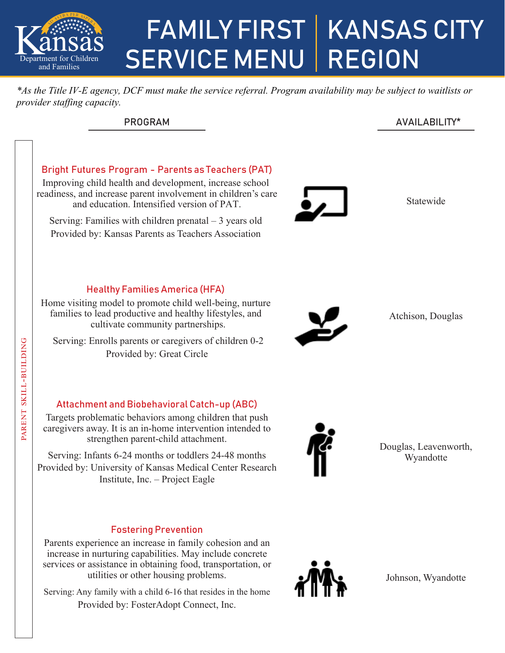

# FAMILY FIRST SERVICE MENU | REGION KANSAS CITY

*\*As the Title IV-E agency, DCF must make the service referral. Program availability may be subject to waitlists or provider staffing capacity.*

| <b>PROGRAM</b> | AVAILABILITY* |
|----------------|---------------|
|                |               |

# Statewide Atchison, Douglas Douglas, Leavenworth, Wyandotte Bright Futures Program - Parents as Teachers (PAT) Improving child health and development, increase school readiness, and increase parent involvement in children's care and education. Intensified version of PAT. Serving: Families with children prenatal – 3 years old Provided by: Kansas Parents as Teachers Association Healthy Families America (HFA) Home visiting model to promote child well-being, nurture families to lead productive and healthy lifestyles, and cultivate community partnerships. Serving: Enrolls parents or caregivers of children 0-2 Provided by: Great Circle Attachment and Biobehavioral Catch-up (ABC) Targets problematic behaviors among children that push caregivers away. It is an in-home intervention intended to strengthen parent-child attachment. Serving: Infants 6-24 months or toddlers 24-48 months Provided by: University of Kansas Medical Center Research Institute, Inc. – Project Eagle Fostering Prevention Parent Skill-building  $\mathsf{r}$  $z<sub>1</sub>$

Parents experience an increase in family cohesion and an increase in nurturing capabilities. May include concrete services or assistance in obtaining food, transportation, or utilities or other housing problems.

Serving: Any family with a child 6-16 that resides in the home Provided by: FosterAdopt Connect, Inc.



Johnson, Wyandotte